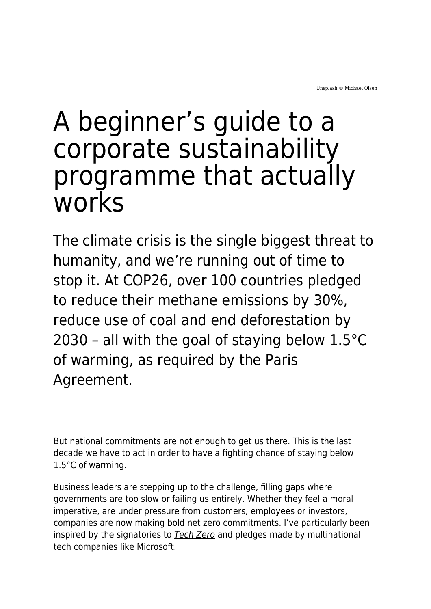# A beginner's guide to a corporate sustainability programme that actually works

The climate crisis is the single biggest threat to humanity, and we're running out of time to stop it. At COP26, over 100 countries pledged to reduce their methane emissions by 30%, reduce use of coal and end deforestation by 2030 – all with the goal of staying below 1.5°C of warming, as required by the Paris Agreement.

But national commitments are not enough to get us there. This is the last decade we have to act in order to have a fighting chance of staying below 1.5°C of warming.

Business leaders are stepping up to the challenge, filling gaps where governments are too slow or failing us entirely. Whether they feel a moral imperative, are under pressure from customers, employees or investors, companies are now making bold net zero commitments. I've particularly been inspired by the signatories to [Tech Zero](https://techzero.technation.io/) and pledges made by multinational tech companies like Microsoft.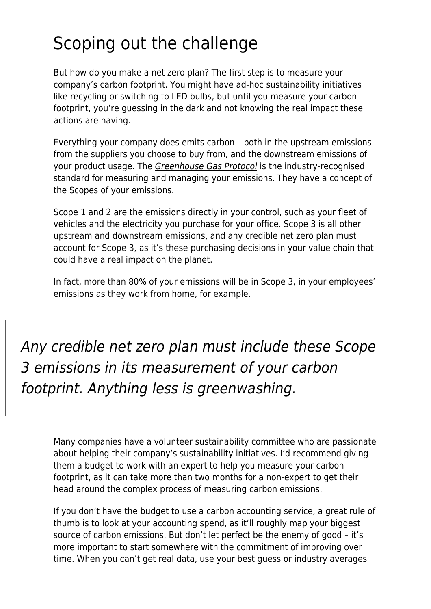## Scoping out the challenge

But how do you make a net zero plan? The first step is to measure your company's carbon footprint. You might have ad-hoc sustainability initiatives like recycling or switching to LED bulbs, but until you measure your carbon footprint, you're guessing in the dark and not knowing the real impact these actions are having.

Everything your company does emits carbon – both in the upstream emissions from the suppliers you choose to buy from, and the downstream emissions of your product usage. The [Greenhouse Gas Protocol](https://ghgprotocol.org/) is the industry-recognised standard for measuring and managing your emissions. They have a concept of the Scopes of your emissions.

Scope 1 and 2 are the emissions directly in your control, such as your fleet of vehicles and the electricity you purchase for your office. Scope 3 is all other upstream and downstream emissions, and any credible net zero plan must account for Scope 3, as it's these purchasing decisions in your value chain that could have a real impact on the planet.

In fact, more than 80% of your emissions will be in Scope 3, in your employees' emissions as they work from home, for example.

Any credible net zero plan must include these Scope 3 emissions in its measurement of your carbon footprint. Anything less is greenwashing.

Many companies have a volunteer sustainability committee who are passionate about helping their company's sustainability initiatives. I'd recommend giving them a budget to work with an expert to help you measure your carbon footprint, as it can take more than two months for a non-expert to get their head around the complex process of measuring carbon emissions.

If you don't have the budget to use a carbon accounting service, a great rule of thumb is to look at your accounting spend, as it'll roughly map your biggest source of carbon emissions. But don't let perfect be the enemy of good – it's more important to start somewhere with the commitment of improving over time. When you can't get real data, use your best guess or industry averages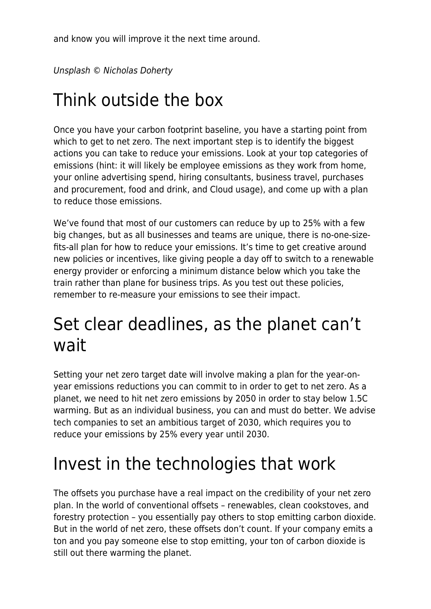and know you will improve it the next time around.

Unsplash © Nicholas Doherty

## Think outside the box

Once you have your carbon footprint baseline, you have a starting point from which to get to net zero. The next important step is to identify the biggest actions you can take to reduce your emissions. Look at your top categories of emissions (hint: it will likely be employee emissions as they work from home, your online advertising spend, hiring consultants, business travel, purchases and procurement, food and drink, and Cloud usage), and come up with a plan to reduce those emissions.

We've found that most of our customers can reduce by up to 25% with a few big changes, but as all businesses and teams are unique, there is no-one-sizefits-all plan for how to reduce your emissions. It's time to get creative around new policies or incentives, like giving people a day off to switch to a renewable energy provider or enforcing a minimum distance below which you take the train rather than plane for business trips. As you test out these policies, remember to re-measure your emissions to see their impact.

#### Set clear deadlines, as the planet can't wait

Setting your net zero target date will involve making a plan for the year-onyear emissions reductions you can commit to in order to get to net zero. As a planet, we need to hit net zero emissions by 2050 in order to stay below 1.5C warming. But as an individual business, you can and must do better. We advise tech companies to set an ambitious target of 2030, which requires you to reduce your emissions by 25% every year until 2030.

#### Invest in the technologies that work

The offsets you purchase have a real impact on the credibility of your net zero plan. In the world of conventional offsets – renewables, clean cookstoves, and forestry protection – you essentially pay others to stop emitting carbon dioxide. But in the world of net zero, these offsets don't count. If your company emits a ton and you pay someone else to stop emitting, your ton of carbon dioxide is still out there warming the planet.